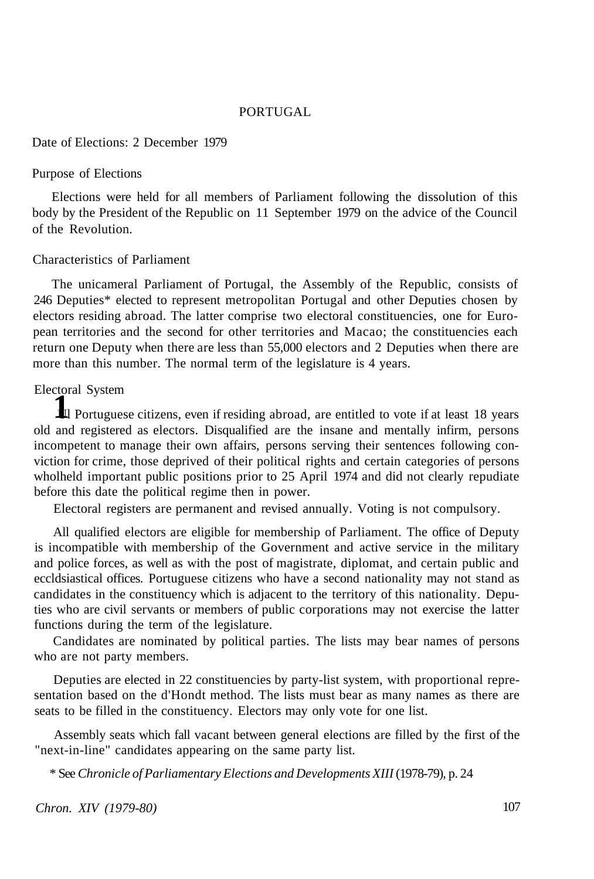### PORTUGAL

Date of Elections: 2 December 1979

#### Purpose of Elections

Elections were held for all members of Parliament following the dissolution of this body by the President of the Republic on 11 September 1979 on the advice of the Council of the Revolution.

#### Characteristics of Parliament

The unicameral Parliament of Portugal, the Assembly of the Republic, consists of 246 Deputies\* elected to represent metropolitan Portugal and other Deputies chosen by electors residing abroad. The latter comprise two electoral constituencies, one for European territories and the second for other territories and Macao; the constituencies each return one Deputy when there are less than 55,000 electors and 2 Deputies when there are more than this number. The normal term of the legislature is 4 years.

### Electoral System

<sup>1</sup> Portuguese citizens, even if residing abroad, are entitled to vote if at least 18 years old and registered as electors. Disqualified are the insane and mentally infirm, persons incompetent to manage their own affairs, persons serving their sentences following conviction for crime, those deprived of their political rights and certain categories of persons wholheld important public positions prior to 25 April 1974 and did not clearly repudiate before this date the political regime then in power.

Electoral registers are permanent and revised annually. Voting is not compulsory.

All qualified electors are eligible for membership of Parliament. The office of Deputy is incompatible with membership of the Government and active service in the military and police forces, as well as with the post of magistrate, diplomat, and certain public and eccldsiastical offices. Portuguese citizens who have a second nationality may not stand as candidates in the constituency which is adjacent to the territory of this nationality. Deputies who are civil servants or members of public corporations may not exercise the latter functions during the term of the legislature.

Candidates are nominated by political parties. The lists may bear names of persons who are not party members.

Deputies are elected in 22 constituencies by party-list system, with proportional representation based on the d'Hondt method. The lists must bear as many names as there are seats to be filled in the constituency. Electors may only vote for one list.

Assembly seats which fall vacant between general elections are filled by the first of the "next-in-line" candidates appearing on the same party list.

\* See *Chronicle of Parliamentary Elections and Developments XIII* (1978-79), p. 24

*Chron. XIV (1979-80)* 107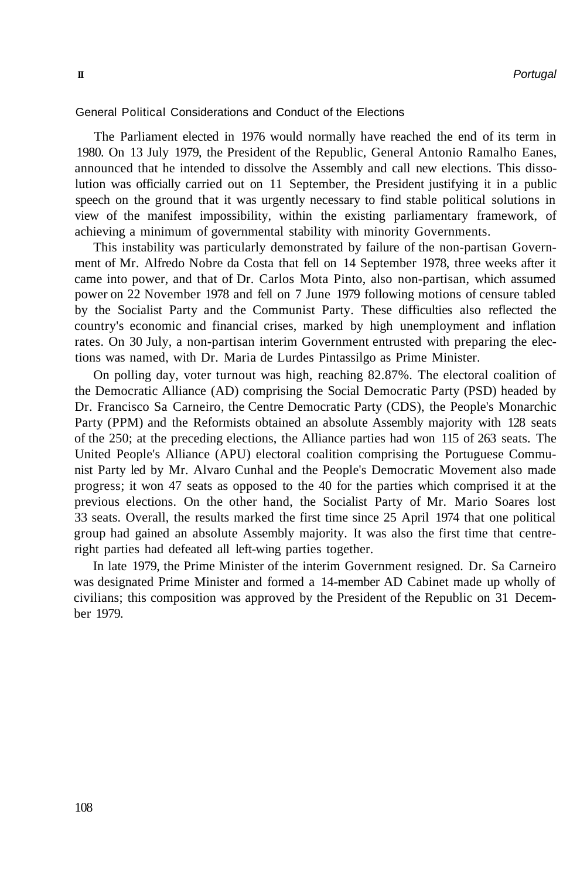General Political Considerations and Conduct of the Elections

The Parliament elected in 1976 would normally have reached the end of its term in 1980. On 13 July 1979, the President of the Republic, General Antonio Ramalho Eanes, announced that he intended to dissolve the Assembly and call new elections. This dissolution was officially carried out on 11 September, the President justifying it in a public speech on the ground that it was urgently necessary to find stable political solutions in view of the manifest impossibility, within the existing parliamentary framework, of achieving a minimum of governmental stability with minority Governments.

This instability was particularly demonstrated by failure of the non-partisan Government of Mr. Alfredo Nobre da Costa that fell on 14 September 1978, three weeks after it came into power, and that of Dr. Carlos Mota Pinto, also non-partisan, which assumed power on 22 November 1978 and fell on 7 June 1979 following motions of censure tabled by the Socialist Party and the Communist Party. These difficulties also reflected the country's economic and financial crises, marked by high unemployment and inflation rates. On 30 July, a non-partisan interim Government entrusted with preparing the elections was named, with Dr. Maria de Lurdes Pintassilgo as Prime Minister.

On polling day, voter turnout was high, reaching 82.87%. The electoral coalition of the Democratic Alliance (AD) comprising the Social Democratic Party (PSD) headed by Dr. Francisco Sa Carneiro, the Centre Democratic Party (CDS), the People's Monarchic Party (PPM) and the Reformists obtained an absolute Assembly majority with 128 seats of the 250; at the preceding elections, the Alliance parties had won 115 of 263 seats. The United People's Alliance (APU) electoral coalition comprising the Portuguese Communist Party led by Mr. Alvaro Cunhal and the People's Democratic Movement also made progress; it won 47 seats as opposed to the 40 for the parties which comprised it at the previous elections. On the other hand, the Socialist Party of Mr. Mario Soares lost 33 seats. Overall, the results marked the first time since 25 April 1974 that one political group had gained an absolute Assembly majority. It was also the first time that centreright parties had defeated all left-wing parties together.

In late 1979, the Prime Minister of the interim Government resigned. Dr. Sa Carneiro was designated Prime Minister and formed a 14-member AD Cabinet made up wholly of civilians; this composition was approved by the President of the Republic on 31 December 1979.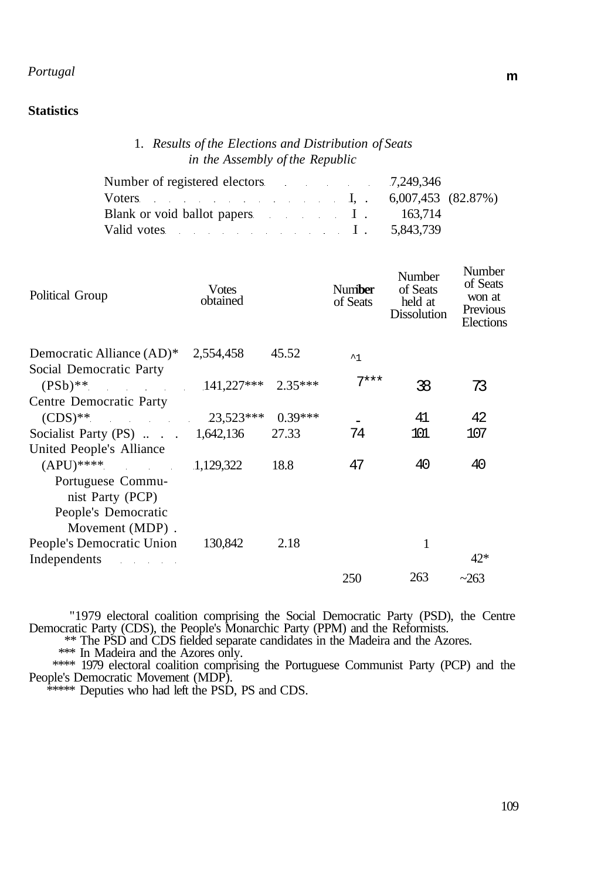# *Portugal* **m**

## **Statistics**

## 1. *Results of the Elections and Distribution of Seats in the Assembly of the Republic*

| Number of registered electors 7,249,346  |  |
|------------------------------------------|--|
| Voters I, $6,007,453$ $(82.87%)$         |  |
| Blank or void ballot papers I am 163,714 |  |
| Valid votes $I \t 5,843,739$             |  |

| Political Group                           | <b>V</b> otes<br>obtained |           | Number<br>of Seats | Number<br>of Seats<br>held at<br><b>Dissolution</b> | Number<br>of Seats<br>won at<br>Previous<br>Elections |
|-------------------------------------------|---------------------------|-----------|--------------------|-----------------------------------------------------|-------------------------------------------------------|
| Democratic Alliance (AD)*                 | 2,554,458                 | 45.52     | $^{\sim}$ 1        |                                                     |                                                       |
| Social Democratic Party                   |                           |           |                    |                                                     |                                                       |
| $(PSb)$ **                                | 141,227*** 2.35***        |           | $7***$             | 38                                                  | 73                                                    |
| Centre Democratic Party                   |                           |           |                    |                                                     |                                                       |
| $(CDS)$ <sup>**</sup>                     | 23,523***                 | $0.39***$ |                    | 41                                                  | 42                                                    |
| Socialist Party (PS) $\ldots$ . 1,642,136 |                           | 27.33     | 74                 | 101                                                 | 107                                                   |
| United People's Alliance                  |                           |           |                    |                                                     |                                                       |
| $(APU)$ ****                              | 1,129,322                 | 18.8      | 47                 | 40                                                  | 40                                                    |
| Portuguese Commu-                         |                           |           |                    |                                                     |                                                       |
| nist Party (PCP)                          |                           |           |                    |                                                     |                                                       |
| People's Democratic                       |                           |           |                    |                                                     |                                                       |
| Movement (MDP).                           |                           |           |                    |                                                     |                                                       |
| People's Democratic Union                 | 130,842                   | 2.18      |                    | 1                                                   |                                                       |
| Independents                              |                           |           |                    |                                                     | $42*$                                                 |
|                                           |                           |           | 250                | 263                                                 | ~263                                                  |

"1979 electoral coalition comprising the Social Democratic Party (PSD), the Centre Democratic Party (CDS), the People's Monarchic Party (PPM) and the Reformists.

\*\* The PSD and CDS fielded separate candidates in the Madeira and the Azores.

\*\*\* In Madeira and the Azores only.

\*\*\*\* 1979 electoral coalition comprising the Portuguese Communist Party (PCP) and the People's Democratic Movement (MDP).

\*\*\*\*\* Deputies who had left the PSD, PS and CDS.